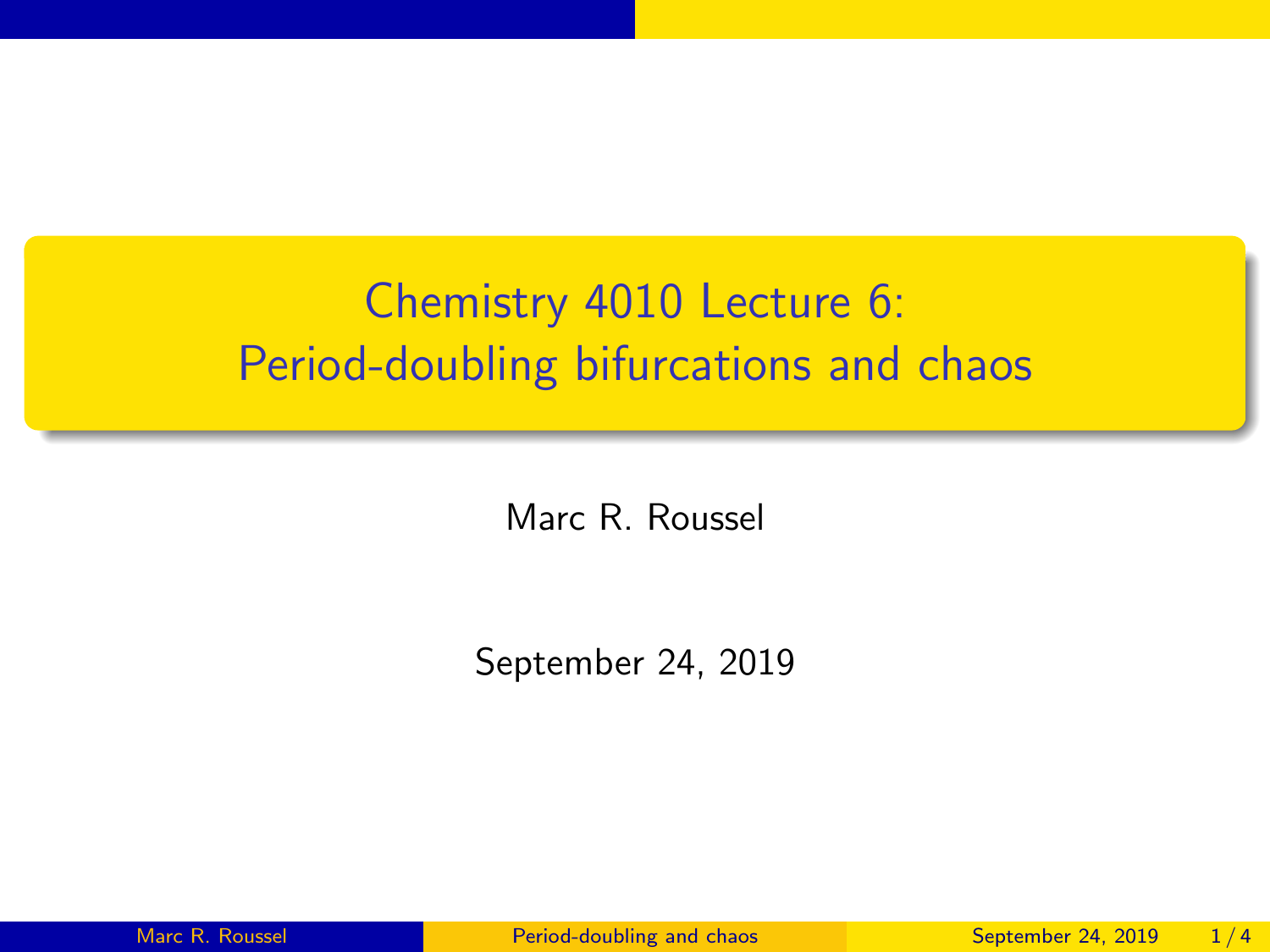## <span id="page-0-0"></span>Chemistry 4010 Lecture 6: Period-doubling bifurcations and chaos

Marc R. Roussel

September 24, 2019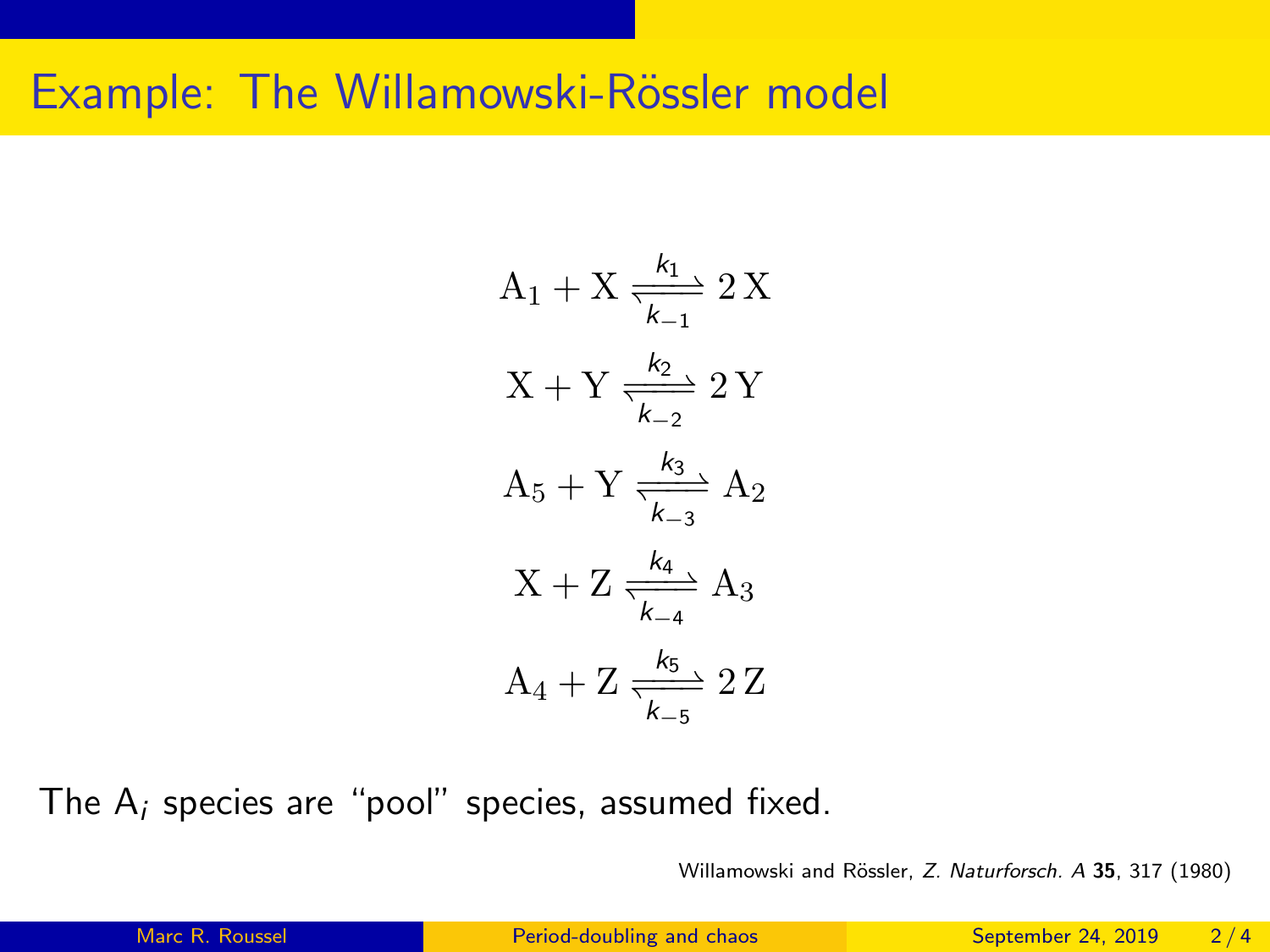## Example: The Willamowski-Rössler model

$$
A_{1} + X \frac{k_{1}}{k_{-1}} 2 X
$$
  

$$
X + Y \frac{k_{2}}{k_{-2}} 2 Y
$$
  

$$
A_{5} + Y \frac{k_{3}}{k_{-3}} A_{2}
$$
  

$$
X + Z \frac{k_{4}}{k_{-4}} A_{3}
$$
  

$$
A_{4} + Z \frac{k_{5}}{k_{-5}} 2 Z
$$

The  $A_i$  species are "pool" species, assumed fixed.

Willamowski and Rössler, Z. Naturforsch. A 35, 317 (1980)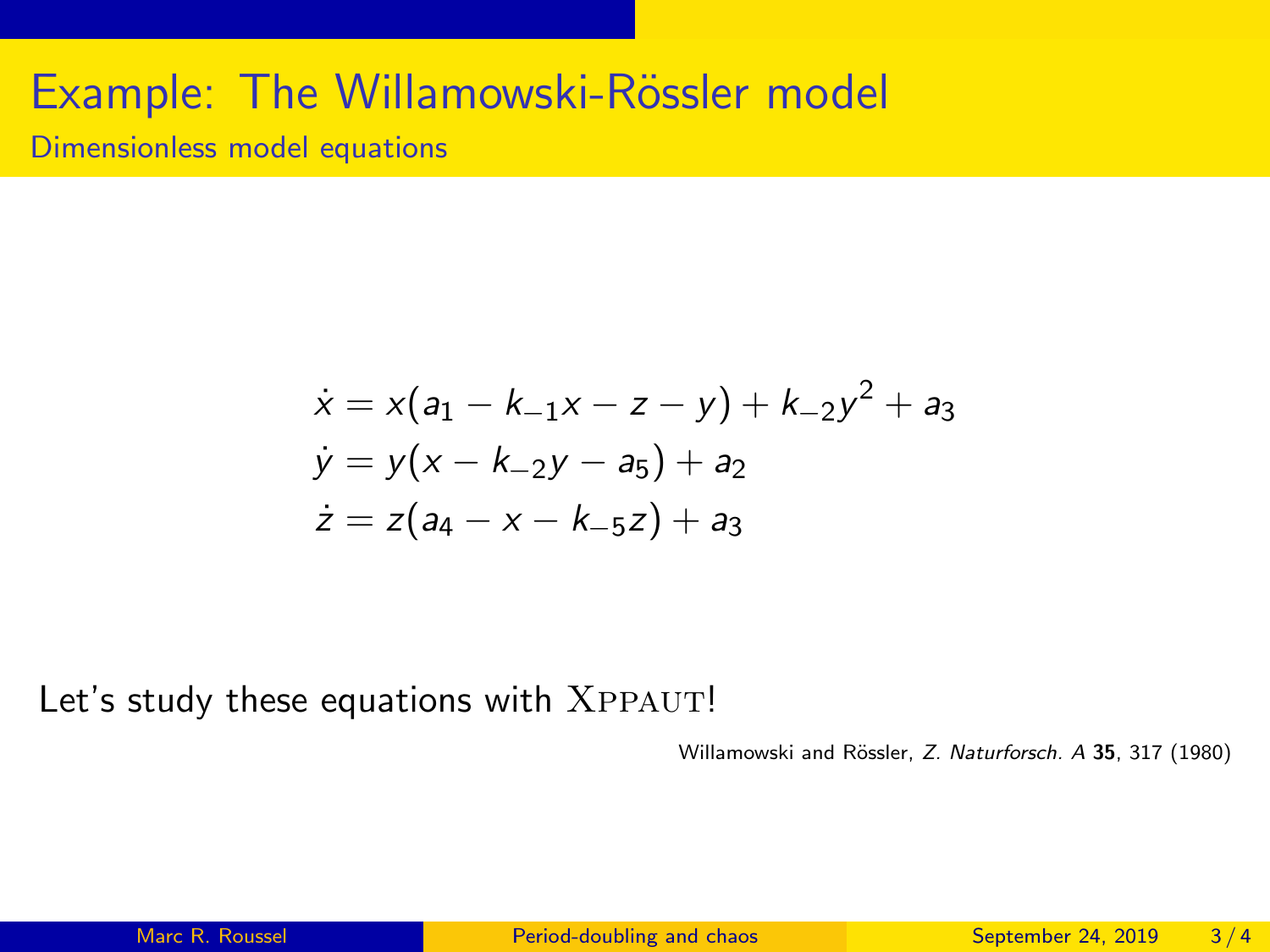## Example: The Willamowski-Rössler model

Dimensionless model equations

$$
\begin{aligned}\n\dot{x} &= x(a_1 - k_{-1}x - z - y) + k_{-2}y^2 + a_3 \\
\dot{y} &= y(x - k_{-2}y - a_5) + a_2 \\
\dot{z} &= z(a_4 - x - k_{-5}z) + a_3\n\end{aligned}
$$

Let's study these equations with XPPAUT!

Willamowski and Rössler, Z. Naturforsch. A 35, 317 (1980)